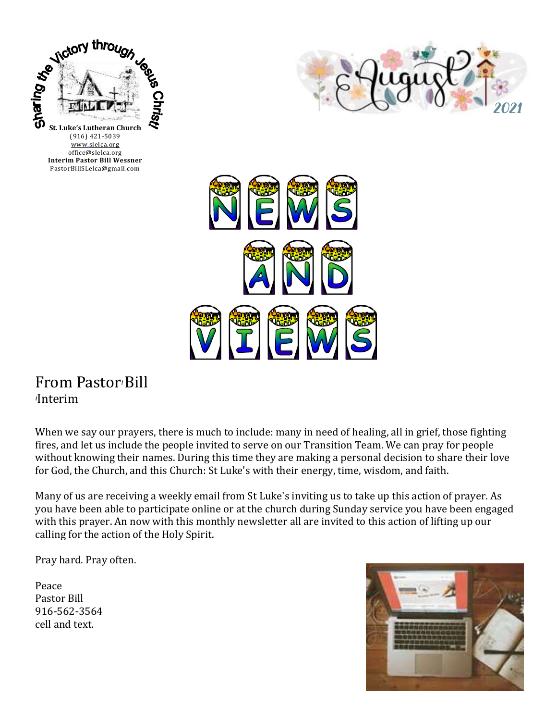





From Pastor*i* Bill *<sup>i</sup>*Interim

When we say our prayers, there is much to include: many in need of healing, all in grief, those fighting fires, and let us include the people invited to serve on our Transition Team. We can pray for people without knowing their names. During this time they are making a personal decision to share their love for God, the Church, and this Church: St Luke's with their energy, time, wisdom, and faith.

Many of us are receiving a weekly email from St Luke's inviting us to take up this action of prayer. As you have been able to participate online or at the church during Sunday service you have been engaged with this prayer. An now with this monthly newsletter all are invited to this action of lifting up our calling for the action of the Holy Spirit.

Pray hard. Pray often.

Peace Pastor Bill 916-562-3564 cell and text.

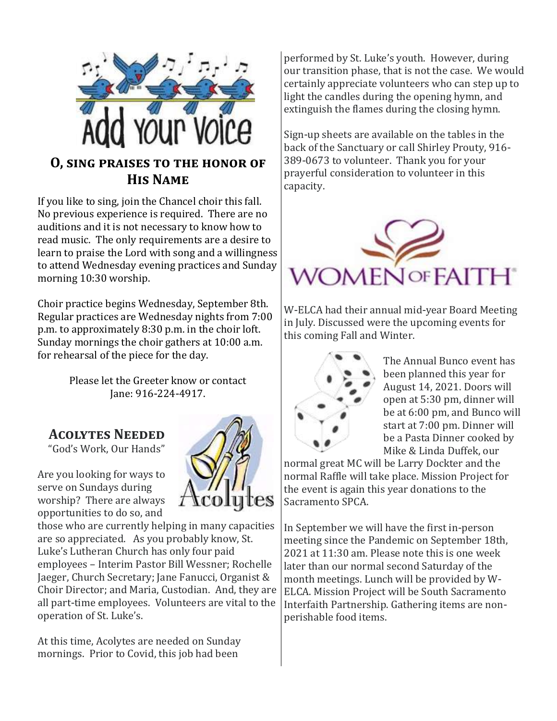

# **O, sing praises to the honor of His Name**

If you like to sing, join the Chancel choir this fall. No previous experience is required. There are no auditions and it is not necessary to know how to read music. The only requirements are a desire to learn to praise the Lord with song and a willingness to attend Wednesday evening practices and Sunday morning 10:30 worship.

Choir practice begins Wednesday, September 8th. Regular practices are Wednesday nights from 7:00 p.m. to approximately 8:30 p.m. in the choir loft. Sunday mornings the choir gathers at 10:00 a.m. for rehearsal of the piece for the day.

> Please let the Greeter know or contact Jane: 916-224-4917.

**Acolytes Needed**

"God's Work, Our Hands"

Are you looking for ways to serve on Sundays during worship? There are always opportunities to do so, and

those who are currently helping in many capacities are so appreciated. As you probably know, St. Luke's Lutheran Church has only four paid employees – Interim Pastor Bill Wessner; Rochelle Jaeger, Church Secretary; Jane Fanucci, Organist & Choir Director; and Maria, Custodian. And, they are all part-time employees. Volunteers are vital to the operation of St. Luke's.

At this time, Acolytes are needed on Sunday mornings. Prior to Covid, this job had been

**\colutes** 

performed by St. Luke's youth. However, during our transition phase, that is not the case. We would certainly appreciate volunteers who can step up to light the candles during the opening hymn, and extinguish the flames during the closing hymn.

Sign-up sheets are available on the tables in the back of the Sanctuary or call Shirley Prouty, 916- 389-0673 to volunteer. Thank you for your prayerful consideration to volunteer in this capacity.



W-ELCA had their annual mid-year Board Meeting in July. Discussed were the upcoming events for this coming Fall and Winter.



The Annual Bunco event has been planned this year for August 14, 2021. Doors will open at 5:30 pm, dinner will be at 6:00 pm, and Bunco will start at 7:00 pm. Dinner will be a Pasta Dinner cooked by Mike & Linda Duffek, our

normal great MC will be Larry Dockter and the normal Raffle will take place. Mission Project for the event is again this year donations to the Sacramento SPCA.

In September we will have the first in-person meeting since the Pandemic on September 18th, 2021 at 11:30 am. Please note this is one week later than our normal second Saturday of the month meetings. Lunch will be provided by W-ELCA. Mission Project will be South Sacramento Interfaith Partnership. Gathering items are nonperishable food items.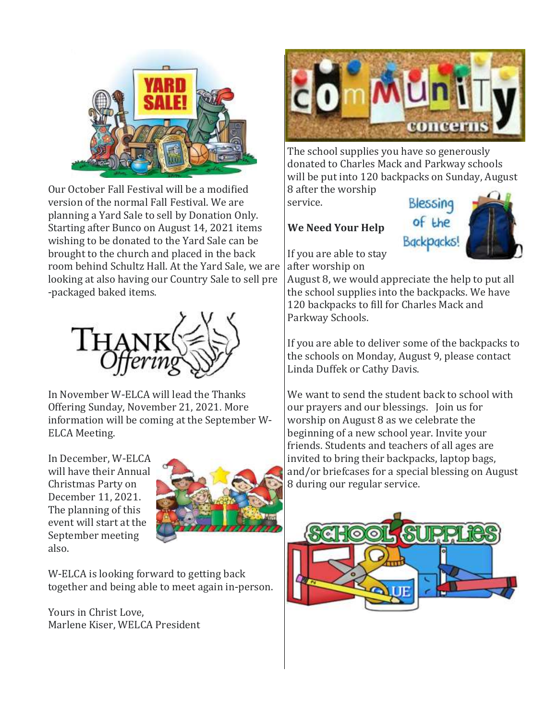

Our October Fall Festival will be a modified version of the normal Fall Festival. We are planning a Yard Sale to sell by Donation Only. Starting after Bunco on August 14, 2021 items wishing to be donated to the Yard Sale can be brought to the church and placed in the back room behind Schultz Hall. At the Yard Sale, we are looking at also having our Country Sale to sell pre -packaged baked items.



In November W-ELCA will lead the Thanks Offering Sunday, November 21, 2021. More information will be coming at the September W-ELCA Meeting.

In December, W-ELCA will have their Annual Christmas Party on December 11, 2021. The planning of this event will start at the September meeting also.



W-ELCA is looking forward to getting back together and being able to meet again in-person.

Yours in Christ Love, Marlene Kiser, WELCA President



The school supplies you have so generously donated to Charles Mack and Parkway schools will be put into 120 backpacks on Sunday, August

8 after the worship service.

### **We Need Your Help**



If you are able to stay after worship on

August 8, we would appreciate the help to put all the school supplies into the backpacks. We have 120 backpacks to fill for Charles Mack and Parkway Schools.

If you are able to deliver some of the backpacks to the schools on Monday, August 9, please contact Linda Duffek or Cathy Davis.

We want to send the student back to school with our prayers and our blessings. Join us for worship on August 8 as we celebrate the beginning of a new school year. Invite your friends. Students and teachers of all ages are invited to bring their backpacks, laptop bags, and/or briefcases for a special blessing on August 8 during our regular service.

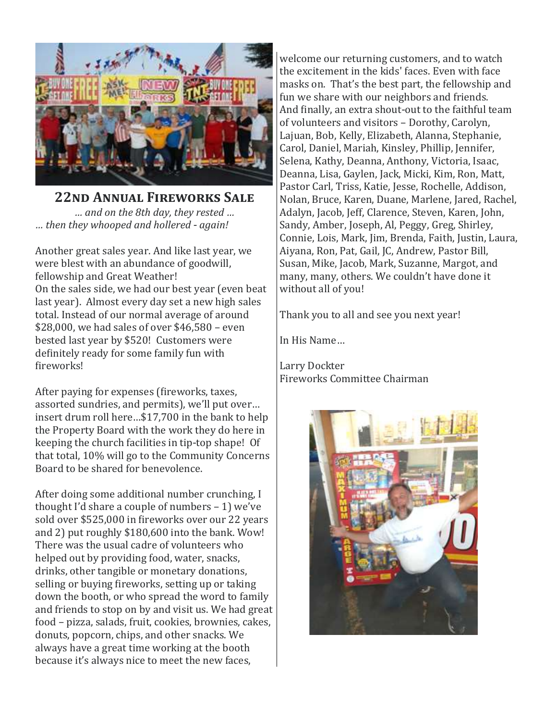

**22nd Annual Fireworks Sale** *… and on the 8th day, they rested … … then they whooped and hollered - again!*

Another great sales year. And like last year, we were blest with an abundance of goodwill, fellowship and Great Weather! On the sales side, we had our best year (even beat last year). Almost every day set a new high sales total. Instead of our normal average of around \$28,000, we had sales of over \$46,580 – even bested last year by \$520! Customers were definitely ready for some family fun with fireworks!

After paying for expenses (fireworks, taxes, assorted sundries, and permits), we'll put over… insert drum roll here…\$17,700 in the bank to help the Property Board with the work they do here in keeping the church facilities in tip-top shape! Of that total, 10% will go to the Community Concerns Board to be shared for benevolence.

After doing some additional number crunching, I thought I'd share a couple of numbers – 1) we've sold over \$525,000 in fireworks over our 22 years and 2) put roughly \$180,600 into the bank. Wow! There was the usual cadre of volunteers who helped out by providing food, water, snacks, drinks, other tangible or monetary donations, selling or buying fireworks, setting up or taking down the booth, or who spread the word to family and friends to stop on by and visit us. We had great food – pizza, salads, fruit, cookies, brownies, cakes, donuts, popcorn, chips, and other snacks. We always have a great time working at the booth because it's always nice to meet the new faces,

welcome our returning customers, and to watch the excitement in the kids' faces. Even with face masks on. That's the best part, the fellowship and fun we share with our neighbors and friends. And finally, an extra shout-out to the faithful team of volunteers and visitors – Dorothy, Carolyn, Lajuan, Bob, Kelly, Elizabeth, Alanna, Stephanie, Carol, Daniel, Mariah, Kinsley, Phillip, Jennifer, Selena, Kathy, Deanna, Anthony, Victoria, Isaac, Deanna, Lisa, Gaylen, Jack, Micki, Kim, Ron, Matt, Pastor Carl, Triss, Katie, Jesse, Rochelle, Addison, Nolan, Bruce, Karen, Duane, Marlene, Jared, Rachel, Adalyn, Jacob, Jeff, Clarence, Steven, Karen, John, Sandy, Amber, Joseph, Al, Peggy, Greg, Shirley, Connie, Lois, Mark, Jim, Brenda, Faith, Justin, Laura, Aiyana, Ron, Pat, Gail, JC, Andrew, Pastor Bill, Susan, Mike, Jacob, Mark, Suzanne, Margot, and many, many, others. We couldn't have done it without all of you!

Thank you to all and see you next year!

In His Name…

Larry Dockter Fireworks Committee Chairman

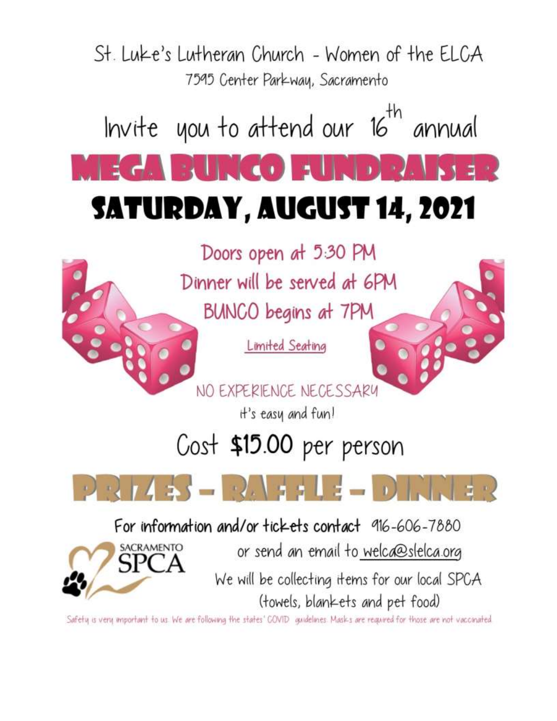

Safety is very important to us We are following the states' GOVID guidelines. Masks are required for those are not vaccinated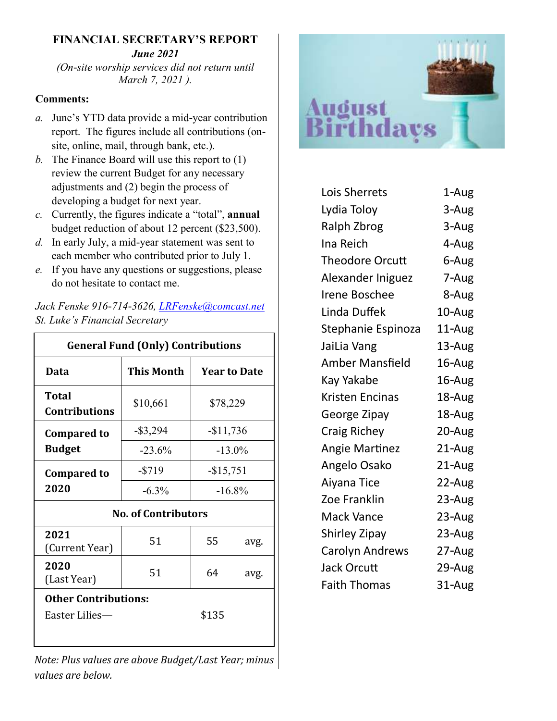## **FINANCIAL SECRETARY'S REPORT** *June 2021*

*(On-site worship services did not return until March 7, 2021 ).*

#### **Comments:**

- *a.* June's YTD data provide a mid-year contribution report. The figures include all contributions (onsite, online, mail, through bank, etc.).
- *b.* The Finance Board will use this report to (1) review the current Budget for any necessary adjustments and (2) begin the process of developing a budget for next year.
- *c.* Currently, the figures indicate a "total", **annual** budget reduction of about 12 percent (\$23,500).
- *d.* In early July, a mid-year statement was sent to each member who contributed prior to July 1.
- *e.* If you have any questions or suggestions, please do not hesitate to contact me.

#### *Jack Fenske 916-714-3626, [LRFenske@comcast.net](mailto:LRFenske@comcast.net) St. Luke's Financial Secretary*

| <b>General Fund (Only) Contributions</b> |             |                         |      |  |
|------------------------------------------|-------------|-------------------------|------|--|
| Data                                     | This Month  | <b>Year to Date</b>     |      |  |
| Total<br><b>Contributions</b>            | \$10,661    | \$78,229                |      |  |
| <b>Compared to</b>                       | $-$ \$3,294 | $-$11,736$<br>$-13.0\%$ |      |  |
| <b>Budget</b>                            | $-23.6%$    |                         |      |  |
| <b>Compared to</b><br>2020               | $-5719$     | $-$ \$15,751            |      |  |
|                                          | $-6.3\%$    | $-16.8%$                |      |  |
| <b>No. of Contributors</b>               |             |                         |      |  |
| 2021<br>(Current Year)                   | 51          | 55                      | avg. |  |
| 2020<br>(Last Year)                      | 51          | 64                      | avg. |  |
| <b>Other Contributions:</b>              |             |                         |      |  |
| Easter Lilies-                           | \$135       |                         |      |  |
|                                          |             |                         |      |  |

*Note: Plus values are above Budget/Last Year; minus values are below.* 



| Lois Sherrets          | 1-Aug  |
|------------------------|--------|
| Lydia Toloy            | 3-Aug  |
| Ralph Zbrog            | 3-Aug  |
| Ina Reich              | 4-Aug  |
| <b>Theodore Orcutt</b> | 6-Aug  |
| Alexander Iniguez      | 7-Aug  |
| Irene Boschee          | 8-Aug  |
| Linda Duffek           | 10-Aug |
| Stephanie Espinoza     | 11-Aug |
| JaiLia Vang            | 13-Aug |
| <b>Amber Mansfield</b> | 16-Aug |
| Kay Yakabe             | 16-Aug |
| <b>Kristen Encinas</b> | 18-Aug |
| George Zipay           | 18-Aug |
| <b>Craig Richey</b>    | 20-Aug |
| <b>Angie Martinez</b>  | 21-Aug |
| Angelo Osako           | 21-Aug |
| Aiyana Tice            | 22-Aug |
| Zoe Franklin           | 23-Aug |
| <b>Mack Vance</b>      | 23-Aug |
| <b>Shirley Zipay</b>   | 23-Aug |
| <b>Carolyn Andrews</b> | 27-Aug |
| Jack Orcutt            | 29-Aug |
| <b>Faith Thomas</b>    | 31-Aug |